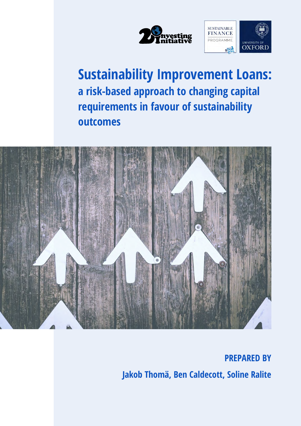



# **Sustainability Improvement Loans: a risk-based approach to changing capital requirements in favour of sustainability outcomes**



**PREPARED BY Jakob Thomä, Ben Caldecott, Soline Ralite**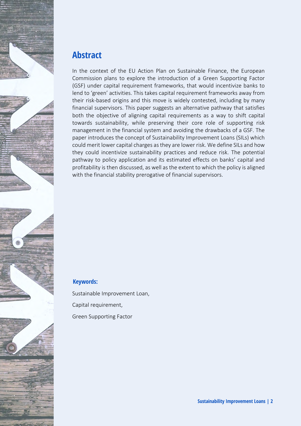

#### **Abstract**

In the context of the EU Action Plan on Sustainable Finance, the European Commission plans to explore the introduction of a Green Supporting Factor (GSF) under capital requirement frameworks, that would incentivize banks to lend to 'green' activities. This takes capital requirement frameworks away from their risk-based origins and this move is widely contested, including by many financial supervisors. This paper suggests an alternative pathway that satisfies both the objective of aligning capital requirements as a way to shift capital towards sustainability, while preserving their core role of supporting risk management in the financial system and avoiding the drawbacks of a GSF. The paper introduces the concept of Sustainability Improvement Loans (SILs) which could merit lower capital charges as they are lower risk. We define SILs and how they could incentivize sustainability practices and reduce risk. The potential pathway to policy application and its estimated effects on banks' capital and profitability is then discussed, as well as the extent to which the policy is aligned with the financial stability prerogative of financial supervisors.

#### **Keywords:**

Sustainable Improvement Loan, Capital requirement, Green Supporting Factor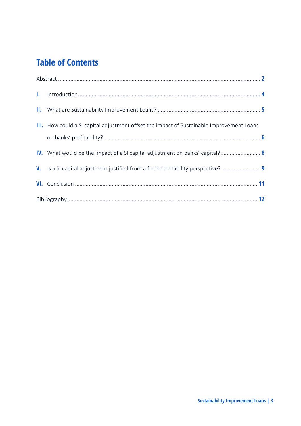## **Table of Contents**

| <b>III.</b> How could a SI capital adjustment offset the impact of Sustainable Improvement Loans |  |
|--------------------------------------------------------------------------------------------------|--|
| IV. What would be the impact of a SI capital adjustment on banks' capital? 8                     |  |
| V. Is a SI capital adjustment justified from a financial stability perspective?  9               |  |
|                                                                                                  |  |
|                                                                                                  |  |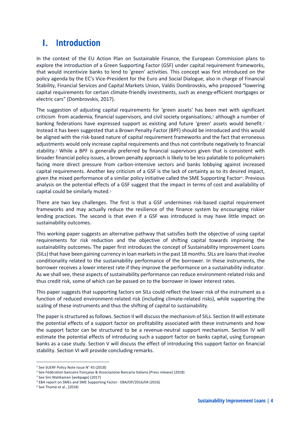#### **I. Introduction**

In the context of the EU Action Plan on Sustainable Finance, the European Commission plans to explore the introduction of a Green Supporting Factor (GSF) under capital requirement frameworks, that would incentivize banks to lend to 'green' activities. This concept was first introduced on the policy agenda by the EC's Vice-President for the Euro and Social Dialogue, also in charge of Financial Stability, Financial Services and Capital Markets Union, Valdis Dombrovskis, who proposed "lowering capital requirements for certain climate-friendly investments, such as energy-efficient mortgages or electric cars" (Dombrovskis, 2017).

The suggestion of adjusting capital requirements for 'green assets' has been met with significant criticism from academia, financial supervisors, and civil society organisations,<sup>1</sup> although a number of banking federations have expressed support as existing and future 'green' assets would benefit.<sup>2</sup> Instead it has been suggested that a Brown Penalty Factor (BPF) should be introduced and this would be aligned with the risk-based nature of capital requirement frameworks and the fact that erroneous adjustments would only increase capital requirements and thus not contribute negatively to financial stability.<sup>3</sup> While a BPF is generally preferred by financial supervisors given that is consistent with broader financial policy issues, a brown penalty approach is likely to be less palatable to policymakers facing more direct pressure from carbon-intensive sectors and banks lobbying against increased capital requirements. Another key criticism of a GSF is the lack of certainty as to its desired impact, given the mixed performance of a similar policy initiative called the SME Supporting Factor4. Previous analysis on the potential effects of a GSF suggest that the impact in terms of cost and availability of capital could be similarly muted.<sup>5</sup>

There are two key challenges. The first is that a GSF undermines risk-based capital requirement frameworks and may actually reduce the resilience of the finance system by encouraging riskier lending practices. The second is that even if a GSF was introduced is may have little impact on sustainability outcomes.

This working paper suggests an alternative pathway that satisfies both the objective of using capital requirements for risk reduction and the objective of shifting capital towards improving the sustainability outcomes. The paper first introduces the concept of Sustainability Improvement Loans (SILs) that have been gaining currency in loan markets in the past 18 months. SILs are loans that involve conditionality related to the sustainability performance of the borrower. In these instruments, the borrower receives a lower interest rate if they improve the performance on a sustainability indicator. As we shall see, these aspects of sustainability performance can reduce environment-related risks and thus credit risk, some of which can be passed on to the borrower in lower interest rates.

This paper suggests that supporting factors on SILs could reflect the lower risk of the instrument as a function of reduced environment-related risk (including climate-related risks), while supporting the scaling of these instruments and thus the shifting of capital to sustainability.

The paper is structured as follows. Section II will discuss the mechanism of SILs. Section III will estimate the potential effects of a support factor on profitability associated with these instruments and how the support factor can be structured to be a revenue-neutral support mechanism. Section IV will estimate the potential effects of introducing such a support factor on banks capital, using European banks as a case study. Section V will discuss the effect of introducing this support factor on financial stability. Section VI will provide concluding remarks.

<sup>&</sup>lt;sup>1</sup> See SUERF Policy Note Issue N° 43 (2018)

<sup>2</sup> See Fédération bancaire française & Associazione Bancaria Italiana [Press release] (2018)

<sup>3</sup> See Sini Matikainen [webpage] (2017)

<sup>4</sup> EBA report on SMEs and SME Supporting Factor - EBA/OP/2016/04 (2016)

<sup>5</sup> See Thomä et al., (2018)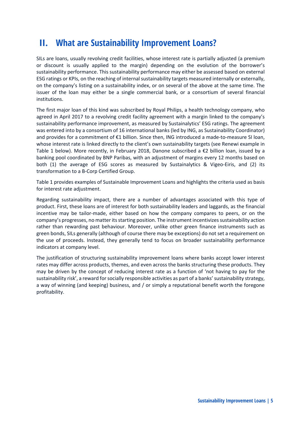#### **II. What are Sustainability Improvement Loans?**

SILs are loans, usually revolving credit facilities, whose interest rate is partially adjusted (a premium or discount is usually applied to the margin) depending on the evolution of the borrower's sustainability performance. This sustainability performance may either be assessed based on external ESG ratings or KPIs, on the reaching of internal sustainability targets measured internally or externally, on the company's listing on a sustainability index, or on several of the above at the same time. The issuer of the loan may either be a single commercial bank, or a consortium of several financial institutions.

The first major loan of this kind was subscribed by Royal Philips, a health technology company, who agreed in April 2017 to a revolving credit facility agreement with a margin linked to the company's sustainability performance improvement, as measured by Sustainalytics' ESG ratings. The agreement was entered into by a consortium of 16 international banks (led by ING, as Sustainability Coordinator) and provides for a commitment of €1 billion. Since then, ING introduced a made-to-measure SI loan, whose interest rate is linked directly to the client's own sustainability targets (see Renewi example in Table 1 below). More recently, in February 2018, Danone subscribed a €2 billion loan, issued by a banking pool coordinated by BNP Paribas, with an adjustment of margins every 12 months based on both (1) the average of ESG scores as measured by Sustainalytics & Vigeo-Eiris, and (2) its transformation to a B-Corp Certified Group.

Table 1 provides examples of Sustainable Improvement Loans and highlights the criteria used as basis for interest rate adjustment.

Regarding sustainability impact, there are a number of advantages associated with this type of product. First, these loans are of interest for both sustainability leaders and laggards, as the financial incentive may be tailor-made, either based on how the company compares to peers, or on the company's progresses, no matter its starting position. The instrument incentivizes sustainability action rather than rewarding past behaviour. Moreover, unlike other green finance instruments such as green bonds, SILs generally (although of course there may be exceptions) do not set a requirement on the use of proceeds. Instead, they generally tend to focus on broader sustainability performance indicators at company level.

The justification of structuring sustainability improvement loans where banks accept lower interest rates may differ across products, themes, and even across the banks structuring these products. They may be driven by the concept of reducing interest rate as a function of 'not having to pay for the sustainability risk', a reward for socially responsible activities as part of a banks' sustainability strategy, a way of winning (and keeping) business, and / or simply a reputational benefit worth the foregone profitability.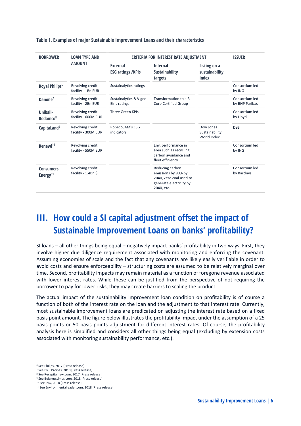| <b>BORROWER</b>                          | <b>LOAN TYPE AND</b>                    | <b>CRITERIA FOR INTEREST RATE ADJUSTMENT</b> |                                                                                                            |                                                | <b>ISSUER</b>                    |
|------------------------------------------|-----------------------------------------|----------------------------------------------|------------------------------------------------------------------------------------------------------------|------------------------------------------------|----------------------------------|
|                                          | <b>AMOUNT</b>                           | <b>External</b><br><b>ESG ratings /KPIs</b>  | <b>Internal</b><br><b>Sustainability</b><br>targets                                                        | <b>Listing on a</b><br>sustainability<br>index |                                  |
| Royal Philips <sup>6</sup>               | Revolving credit<br>facility - 1Bn EUR  | Sustainalytics ratings                       |                                                                                                            |                                                | Consortium led<br>by ING         |
| Danone <sup>7</sup>                      | Revolving credit<br>facility - 2Bn EUR  | Sustainalytics & Vigeo-<br>Eiris ratings     | Transformation to a B-<br><b>Corp Certified Group</b>                                                      |                                                | Consortium led<br>by BNP Paribas |
| Unibail-<br>Rodamco <sup>8</sup>         | Revolving credit<br>facility - 600M EUR | <b>Three Green KPIs</b>                      |                                                                                                            |                                                | Consortium led<br>by Lloyd       |
| CapitaLand <sup>9</sup>                  | Revolving credit<br>facility - 300M EUR | RobecoSAM's ESG<br>indicators                |                                                                                                            | Dow Jones<br>Sustainability<br>World Index     | <b>DBS</b>                       |
| Renewi <sup>10</sup>                     | Revolving credit<br>facility - 550M EUR |                                              | Env. performance in<br>area such as recycling,<br>carbon avoidance and<br>fleet efficiency                 |                                                | Consortium led<br>by ING         |
| <b>Consumers</b><br>Energy <sup>11</sup> | Revolving credit<br>facility - 1.4Bn \$ |                                              | Reducing carbon<br>emissions by 80% by<br>2040, Zero coal used to<br>generate electricity by<br>2040, etc. |                                                | Consortium led<br>by Barclays    |

**Table 1. Examples of major Sustainable Improvement Loans and their characteristics**

### **III. How could a SI capital adjustment offset the impact of Sustainable Improvement Loans on banks' profitability?**

SI loans – all other things being equal – negatively impact banks' profitability in two ways. First, they involve higher due diligence requirement associated with monitoring and enforcing the covenant. Assuming economies of scale and the fact that any covenants are likely easily verifiable in order to avoid costs and ensure enforceability – structuring costs are assumed to be relatively marginal over time. Second, profitability impacts may remain material as a function of foregone revenue associated with lower interest rates. While these can be justified from the perspective of not requiring the borrower to pay for lower risks, they may create barriers to scaling the product.

The actual impact of the sustainability improvement loan condition on profitability is of course a function of both of the interest rate on the loan and the adjustment to that interest rate. Currently, most sustainable improvement loans are predicated on adjusting the interest rate based on a fixed basis point amount. The figure below illustrates the profitability impact under the assumption of a 25 basis points or 50 basis points adjustment for different interest rates. Of course, the profitability analysis here is simplified and considers all other things being equal (excluding by extension costs associated with monitoring sustainability performance, etc.).

 $\overline{a}$ 

<sup>6</sup> See Philips, 2017 [Press release]

<sup>7</sup> See BNP Paribas, 2018 [Press release]

<sup>8</sup> See Recapitalnew.com, 2017 [Press release]

<sup>&</sup>lt;sup>9</sup> See Buisnesstimes.com, 2018 [Press release] <sup>10</sup> See ING, 2018 [Press release]

<sup>&</sup>lt;sup>11</sup> See Environmentalleader.com, 2018 [Press release]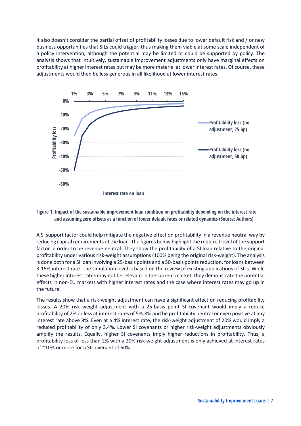It also doesn't consider the partial offset of profitability losses due to lower default risk and / or new business opportunities that SILs could trigger, thus making them viable at some scale independent of a policy intervention, although the potential may be limited or could be supported by policy. The analysis shows that intuitively, sustainable improvement adjustments only have marginal effects on profitability at higher interest rates but may be more material at lower interest rates. Of course, these adjustments would then be less generous in all likelihood at lower interest rates.



#### **Figure 1. Impact of the sustainable improvement loan condition on profitability depending on the interest rate and assuming zero offsets as a function of lower default rates or related dynamics (Source: Authors)**

A SI support factor could help mitigate the negative effect on profitability in a revenue neutral way by reducing capital requirements of the loan. The figures below highlight the required level of the support factor in order to be revenue neutral. They show the profitability of a SI loan relative to the original profitability under various risk-weight assumptions (100% being the original risk-weight). The analysis is done both for a SI loan involving a 25-basis points and a 50-basis points reduction, for loans between 3-15% interest rate. The simulation level is based on the review of existing applications of SILs. While these higher interest rates may not be relevant in the current market, they demonstrate the potential effects in non-EU markets with higher interest rates and the case where interest rates may go up in the future.

The results show that a risk-weight adjustment can have a significant effect on reducing profitability losses. A 20% risk weight adjustment with a 25-basis point SI covenant would imply a reduce profitability of 2% or less at interest rates of 5%-8% and be profitability neutral or even positive at any interest rate above 8%. Even at a 4% interest rate, the risk-weight adjustment of 20% would imply a reduced profitability of only 3.4%. Lower SI covenants or higher risk-weight adjustments obviously amplify the results. Equally, higher SI covenants imply higher reductions in profitability. Thus, a profitability loss of less than 2% with a 20% risk-weight adjustment is only achieved at interest rates of ~10% or more for a SI covenant of 50%.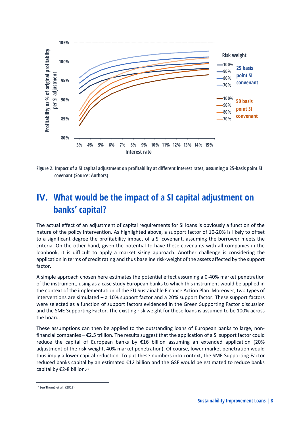

**Figure 2. Impact of a SI capital adjustment on profitability at different interest rates, assuming a 25-basis point SI covenant (Source: Authors)**

### **IV. What would be the impact of a SI capital adjustment on banks' capital?**

The actual effect of an adjustment of capital requirements for SI loans is obviously a function of the nature of the policy intervention. As highlighted above, a support factor of 10-20% is likely to offset to a significant degree the profitability impact of a SI covenant, assuming the borrower meets the criteria. On the other hand, given the potential to have these covenants with all companies in the loanbook, it is difficult to apply a market sizing approach. Another challenge is considering the application in terms of credit rating and thus baseline risk-weight of the assets affected by the support factor.

A simple approach chosen here estimates the potential effect assuming a 0-40% market penetration of the instrument, using as a case study European banks to which this instrument would be applied in the context of the implementation of the EU Sustainable Finance Action Plan. Moreover, two types of interventions are simulated – a 10% support factor and a 20% support factor. These support factors were selected as a function of support factors evidenced in the Green Supporting Factor discussion and the SME Supporting Factor. The existing risk weight for these loans is assumed to be 100% across the board.

These assumptions can then be applied to the outstanding loans of European banks to large, nonfinancial companies – €2.5 trillion. The results suggest that the application of a SI support factor could reduce the capital of European banks by €16 billion assuming an extended application (20% adjustment of the risk-weight, 40% market penetration). Of course, lower market penetration would thus imply a lower capital reduction. To put these numbers into context, the SME Supporting Factor reduced banks capital by an estimated €12 billion and the GSF would be estimated to reduce banks capital by €2-8 billion.<sup>12</sup>

 $\overline{a}$ 

<sup>12</sup> See Thomä et al., (2018)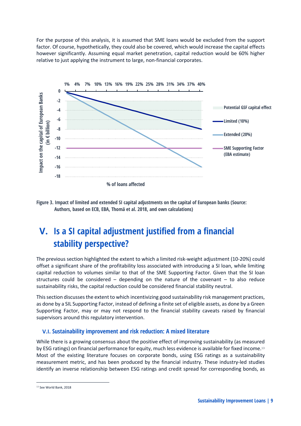For the purpose of this analysis, it is assumed that SME loans would be excluded from the support factor. Of course, hypothetically, they could also be covered, which would increase the capital effects however significantly. Assuming equal market penetration, capital reduction would be 60% higher relative to just applying the instrument to large, non-financial corporates.



**Figure 3. Impact of limited and extended SI capital adjustments on the capital of European banks (Source: Authors, based on ECB, EBA, Thomä et al. 2018, and own calculations)**

### **V. Is a SI capital adjustment justified from a financial stability perspective?**

The previous section highlighted the extent to which a limited risk-weight adjustment (10-20%) could offset a significant share of the profitability loss associated with introducing a SI loan, while limiting capital reduction to volumes similar to that of the SME Supporting Factor. Given that the SI loan structures could be considered  $-$  depending on the nature of the covenant  $-$  to also reduce sustainability risks, the capital reduction could be considered financial stability neutral.

This section discussesthe extent to which incentivizing good sustainability risk management practices, as done by a SIL Supporting Factor, instead of defining a finite set of eligible assets, as done by a Green Supporting Factor, may or may not respond to the financial stability caveats raised by financial supervisors around this regulatory intervention.

#### **V.I. Sustainability improvement and risk reduction: A mixed literature**

While there is a growing consensus about the positive effect of improving sustainability (as measured by ESG ratings) on financial performance for equity, much less evidence is available for fixed income.<sup>13</sup> Most of the existing literature focuses on corporate bonds, using ESG ratings as a sustainability measurement metric, and has been produced by the financial industry. These industry-led studies identify an inverse relationship between ESG ratings and credit spread for corresponding bonds, as

 $\overline{a}$ <sup>13</sup> See World Bank, 2018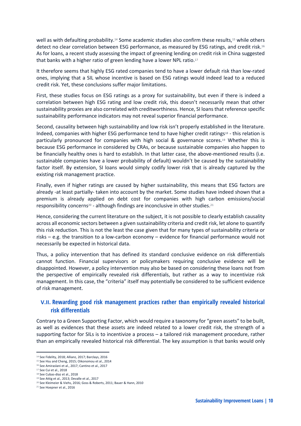well as with defaulting probability.<sup>14</sup> Some academic studies also confirm these results,<sup>15</sup> while others detect no clear correlation between ESG performance, as measured by ESG ratings, and credit risk.<sup>16</sup> As for loans, a recent study assessing the impact of greening lending on credit risk in China suggested that banks with a higher ratio of green lending have a lower NPL ratio.<sup>17</sup>

It therefore seems that highly ESG rated companies tend to have a lower default risk than low-rated ones, implying that a SIL whose incentive is based on ESG ratings would indeed lead to a reduced credit risk. Yet, these conclusions suffer major limitations.

First, these studies focus on ESG ratings as a proxy for sustainability, but even if there is indeed a correlation between high ESG rating and low credit risk, this doesn't necessarily mean that other sustainability proxies are also correlated with creditworthiness. Hence, SI loans that reference specific sustainability performance indicators may not reveal superior financial performance.

Second, causality between high sustainability and low risk isn't properly established in the literature. Indeed, companies with higher ESG performance tend to have higher credit ratings<sup>18</sup> - this relation is particularly pronounced for companies with high social & governance scores.<sup>19</sup> Whether this is because ESG performance in considered by CRAs, or because sustainable companies also happen to be financially healthy ones is hard to establish. In that latter case, the above-mentioned results (i.e. sustainable companies have a lower probability of default) wouldn't be caused by the sustainability factor itself. By extension, SI loans would simply codify lower risk that is already captured by the existing risk management practice.

Finally, even if higher ratings are caused by higher sustainability, this means that ESG factors are already -at least partially- taken into account by the market. Some studies have indeed shown that a premium is already applied on debt cost for companies with high carbon emissions/social responsibility concerns<sup>20</sup> - although findings are inconclusive in other studies.<sup>21</sup>

Hence, considering the current literature on the subject, it is not possible to clearly establish causality across all economic sectors between a given sustainability criteria and credit risk, let alone to quantify this risk reduction. This is not the least the case given that for many types of sustainability criteria or risks – e.g. the transition to a low-carbon economy – evidence for financial performance would not necessarily be expected in historical data.

Thus, a policy intervention that has defined its standard conclusive evidence on risk differentials cannot function. Financial supervisors or policymakers requiring conclusive evidence will be disappointed. However, a policy intervention may also be based on considering these loans not from the perspective of empirically revealed risk differentials, but rather as a way to incentivize risk management. In this case, the "criteria" itself may potentially be considered to be sufficient evidence of risk management.

#### **V.II. Rewarding good risk management practices rather than empirically revealed historical risk differentials**

Contrary to a Green Supporting Factor, which would require a taxonomy for "green assets" to be built, as well as evidences that these assets are indeed related to a lower credit risk, the strength of a supporting factor for SILs is to incentivize a process – a tailored risk management procedure, rather than an empirically revealed historical risk differential. The key assumption is that banks would only

l

<sup>14</sup> See Fidelity, 2018; Allianz, 2017; Barclays, 2016

<sup>15</sup> See Hsu and Cheng, 2015; Oikonomou et al., 2014 <sup>16</sup> See Amiraslani et al., 2017; Cantino et al., 2017

<sup>17</sup> See Cui et al., 2018

<sup>18</sup> See Cubas-diaz et al., 2018

<sup>19</sup> See Attig et al., 2013; Devalle et al., 2017

<sup>20</sup> See Kleimeier & Viehs, 2016; Goss & Roberts, 2011; Bauer & Hann, 2010

<sup>21</sup> See Hoepner et al., 2016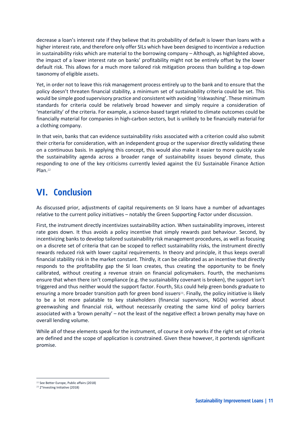decrease a loan's interest rate if they believe that its probability of default is lower than loans with a higher interest rate, and therefore only offer SILs which have been designed to incentivize a reduction in sustainability risks which are material to the borrowing company – Although, as highlighted above, the impact of a lower interest rate on banks' profitability might not be entirely offset by the lower default risk. This allows for a much more tailored risk mitigation process than building a top-down taxonomy of eligible assets.

Yet, in order not to leave this risk management process entirely up to the bank and to ensure that the policy doesn't threaten financial stability, a minimum set of sustainability criteria could be set. This would be simple good supervisory practice and consistent with avoiding 'riskwashing'. These minimum standards for criteria could be relatively broad however and simply require a consideration of 'materiality' of the criteria. For example, a science-based target related to climate outcomes could be financially material for companies in high-carbon sectors, but is unlikely to be financially material for a clothing company.

In that vein, banks that can evidence sustainability risks associated with a criterion could also submit their criteria for consideration, with an independent group or the supervisor directly validating these on a continuous basis. In applying this concept, this would also make it easier to more quickly scale the sustainability agenda across a broader range of sustainability issues beyond climate, thus responding to one of the key criticisms currently levied against the EU Sustainable Finance Action Plan.<sup>22</sup>

#### **VI. Conclusion**

As discussed prior, adjustments of capital requirements on SI loans have a number of advantages relative to the current policy initiatives – notably the Green Supporting Factor under discussion.

First, the instrument directly incentivizes sustainability action. When sustainability improves, interest rate goes down. It thus avoids a policy incentive that simply rewards past behaviour. Second, by incentivizing banks to develop tailored sustainability risk management procedures, as well as focusing on a discrete set of criteria that can be scoped to reflect sustainability risks, the instrument directly rewards reduced risk with lower capital requirements. In theory and principle, it thus keeps overall financial stability risk in the market constant. Thirdly, it can be calibrated as an incentive that directly responds to the profitability gap the SI loan creates, thus creating the opportunity to be finely calibrated, without creating a revenue strain on financial policymakers. Fourth, the mechanisms ensure that when there isn't compliance (e.g. the sustainability covenant is broken), the support isn't triggered and thus neither would the support factor. Fourth, SILs could help green bonds graduate to ensuring a more broader transition path for green bond issuers<sup>23</sup>. Finally, the policy initiative is likely to be a lot more palatable to key stakeholders (financial supervisors, NGOs) worried about greenwashing and financial risk, without necessarily creating the same kind of policy barriers associated with a 'brown penalty' – not the least of the negative effect a brown penalty may have on overall lending volume.

While all of these elements speak for the instrument, of course it only works if the right set of criteria are defined and the scope of application is constrained. Given these however, it portends significant promise.

l <sup>22</sup> See Better Europe, Public affairs (2018)

<sup>23</sup> 2°Investing Initiative (2018)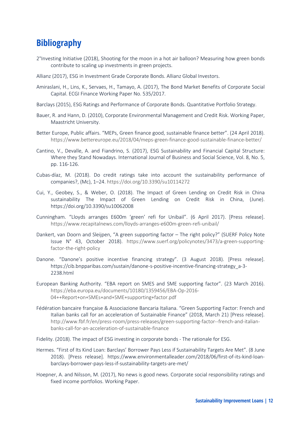### **Bibliography**

- 2°Investing Initiative (2018), Shooting for the moon in a hot air balloon? Measuring how green bonds contribute to scaling up investments in green projects.
- Allianz (2017), ESG in Investment Grade Corporate Bonds. Allianz Global Investors.
- Amiraslani, H., Lins, K., Servaes, H., Tamayo, A. (2017), The Bond Market Benefits of Corporate Social Capital. ECGI Finance Working Paper No. 535/2017.
- Barclays (2015), ESG Ratings and Performance of Corporate Bonds. Quantitative Portfolio Strategy.
- Bauer, R. and Hann, D. (2010), Corporate Environmental Management and Credit Risk. Working Paper, Maastricht University.
- Better Europe, Public affairs. "MEPs, Green finance good, sustainable finance better". (24 April 2018). https://www.bettereurope.eu/2018/04/meps-green-finance-good-sustainable-finance-better/
- Cantino, V., Devalle, A. and Fiandrino, S. (2017), ESG Sustainability and Financial Capital Structure: Where they Stand Nowadays. International Journal of Business and Social Science, Vol. 8, No. 5, pp. 116-126.
- Cubas-díaz, M. (2018). Do credit ratings take into account the sustainability performance of companies?, (Mc), 1–24. https://doi.org/10.3390/su10114272
- Cui, Y., Geobey, S., & Weber, O. (2018). The Impact of Green Lending on Credit Risk in China sustainability The Impact of Green Lending on Credit Risk in China, (June). https://doi.org/10.3390/su10062008
- Cunningham. "Lloyds arranges E600m 'green' refi for Unibail". (6 April 2017). [Press release]. https://www.recapitalnews.com/lloyds-arranges-e600m-green-refi-unibail/
- Dankert, van Doorn and Sleijpen, "A green supporting factor The right policy?" (SUERF Policy Note Issue N° 43, October 2018). https://www.suerf.org/policynotes/3473/a-green-supportingfactor-the-right-policy
- Danone. "Danone's positive incentive financing strategy". (3 August 2018). [Press release]. https://cib.bnpparibas.com/sustain/danone-s-positive-incentive-financing-strategy\_a-3- 2238.html
- European Banking Authority. "EBA report on SMES and SME supporting factor". (23 March 2016). https://eba.europa.eu/documents/10180/1359456/EBA-Op-2016- 04++Report+on+SMEs+and+SME+supporting+factor.pdf
- Fédération bancaire française & Associazione Bancaria Italiana. "Green Supporting Factor: French and Italian banks call for an acceleration of Sustainable Finance" (2018, March 21) [Press release]. http://www.fbf.fr/en/press-room/press-releases/green-supporting-factor--french-and-italianbanks-call-for-an-acceleration-of-sustainable-finance
- Fidelity. (2018). The impact of ESG investing in corporate bonds The rationale for ESG.
- Hermes. "First of Its Kind Loan: Barclays' Borrower Pays Less if Sustainability Targets Are Met". (8 June 2018). [Press release]. https://www.environmentalleader.com/2018/06/first-of-its-kind-loanbarclays-borrower-pays-less-if-sustainability-targets-are-met/
- Hoepner, A. and Nilsson, M. (2017), No news is good news. Corporate social responsibility ratings and fixed income portfolios. Working Paper.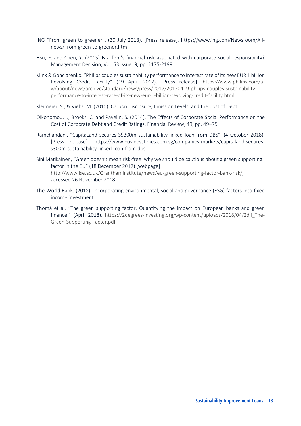- ING "From green to greener". (30 July 2018). [Press release]. https://www.ing.com/Newsroom/Allnews/From-green-to-greener.htm
- Hsu, F. and Chen, Y. (2015) Is a firm's financial risk associated with corporate social responsibility? Management Decision, Vol. 53 Issue: 9, pp. 2175-2199.
- Klink & Gonciarenko. "Philips couples sustainability performance to interest rate of its new EUR 1 billion Revolving Credit Facility" (19 April 2017). [Press release]. https://www.philips.com/aw/about/news/archive/standard/news/press/2017/20170419-philips-couples-sustainabilityperformance-to-interest-rate-of-its-new-eur-1-billion-revolving-credit-facility.html
- Kleimeier, S., & Viehs, M. (2016). Carbon Disclosure, Emission Levels, and the Cost of Debt.
- Oikonomou, I., Brooks, C. and Pavelin, S. (2014), The Effects of Corporate Social Performance on the Cost of Corporate Debt and Credit Ratings. Financial Review, 49, pp. 49–75.
- Ramchandani. "CapitaLand secures S\$300m sustainability-linked loan from DBS". (4 October 2018). [Press release]. https://www.businesstimes.com.sg/companies-markets/capitaland-securess300m-sustainability-linked-loan-from-dbs
- Sini Matikainen, "Green doesn't mean risk-free: why we should be cautious about a green supporting factor in the EU" (18 December 2017) [webpage] http://www.lse.ac.uk/GranthamInstitute/news/eu-green-supporting-factor-bank-risk/, accessed 26 November 2018
- The World Bank. (2018). Incorporating environmental, social and governance (ESG) factors into fixed income investment.
- Thomä et al. "The green supporting factor. Quantifying the impact on European banks and green finance." (April 2018). https://2degrees-investing.org/wp-content/uploads/2018/04/2dii\_The-Green-Supporting-Factor.pdf